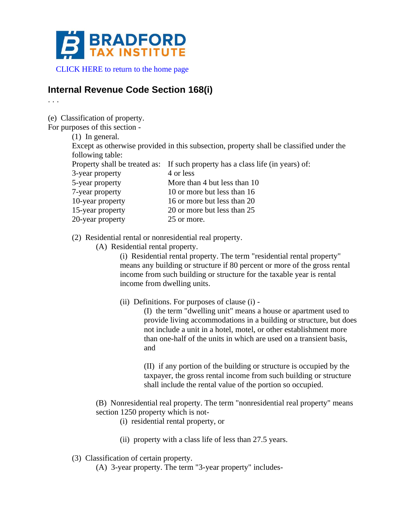

[CLICK HERE to return to the home page](http://www.bradfordtaxinstitute.com)

# **Internal Revenue Code Section 168(i)**

. . .

(e) Classification of property.

For purposes of this section -

(1) In general.

Except as otherwise provided in this subsection, property shall be classified under the following table:

|                  | Property shall be treated as: If such property has a class life (in years) of: |
|------------------|--------------------------------------------------------------------------------|
| 3-year property  | 4 or less                                                                      |
| 5-year property  | More than 4 but less than 10                                                   |
| 7-year property  | 10 or more but less than 16                                                    |
| 10-year property | 16 or more but less than 20                                                    |
| 15-year property | 20 or more but less than 25                                                    |
| 20-year property | 25 or more.                                                                    |

(2) Residential rental or nonresidential real property.

(A) Residential rental property.

(i) Residential rental property. The term "residential rental property" means any building or structure if 80 percent or more of the gross rental income from such building or structure for the taxable year is rental income from dwelling units.

(ii) Definitions. For purposes of clause (i) -

(I) the term "dwelling unit" means a house or apartment used to provide living accommodations in a building or structure, but does not include a unit in a hotel, motel, or other establishment more than one-half of the units in which are used on a transient basis, and

(II) if any portion of the building or structure is occupied by the taxpayer, the gross rental income from such building or structure shall include the rental value of the portion so occupied.

- (B) Nonresidential real property. The term "nonresidential real property" means section 1250 property which is not-
	- (i) residential rental property, or
	- (ii) property with a class life of less than 27.5 years.
- (3) Classification of certain property.
	- (A) 3-year property. The term "3-year property" includes-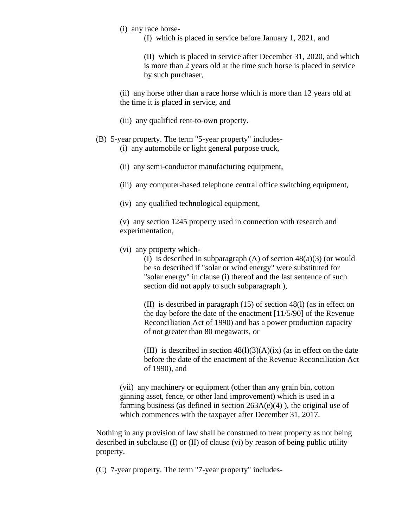(i) any race horse-

(I) which is placed in service before January 1, 2021, and

(II) which is placed in service after December 31, 2020, and which is more than 2 years old at the time such horse is placed in service by such purchaser,

(ii) any horse other than a race horse which is more than 12 years old at the time it is placed in service, and

- (iii) any qualified rent-to-own property.
- (B) 5-year property. The term "5-year property" includes- (i) any automobile or light general purpose truck,
	- (ii) any semi-conductor manufacturing equipment,
	- (iii) any computer-based telephone central office switching equipment,
	- (iv) any qualified technological equipment,

(v) any section 1245 property used in connection with research and experimentation,

(vi) any property which-

(I) is described in subparagraph  $(A)$  of section  $48(a)(3)$  (or would be so described if "solar or wind energy" were substituted for "solar energy" in clause (i) thereof and the last sentence of such section did not apply to such subparagraph ),

(II) is described in paragraph (15) of section 48(l) (as in effect on the day before the date of the enactment [11/5/90] of the Revenue Reconciliation Act of 1990) and has a power production capacity of not greater than 80 megawatts, or

(III) is described in section  $48(1)(3)(A)(ix)$  (as in effect on the date before the date of the enactment of the Revenue Reconciliation Act of 1990), and

(vii) any machinery or equipment (other than any grain bin, cotton ginning asset, fence, or other land improvement) which is used in a farming business (as defined in section  $263A(e)(4)$ ), the original use of which commences with the taxpayer after December 31, 2017.

Nothing in any provision of law shall be construed to treat property as not being described in subclause (I) or (II) of clause (vi) by reason of being public utility property.

(C) 7-year property. The term "7-year property" includes-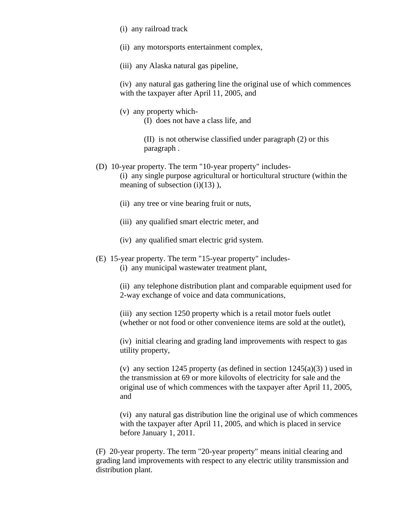- (i) any railroad track
- (ii) any motorsports entertainment complex,
- (iii) any Alaska natural gas pipeline,

(iv) any natural gas gathering line the original use of which commences with the taxpayer after April 11, 2005, and

(v) any property which- (I) does not have a class life, and

> (II) is not otherwise classified under paragraph (2) or this paragraph .

- (D) 10-year property. The term "10-year property" includes- (i) any single purpose agricultural or horticultural structure (within the meaning of subsection  $(i)(13)$ ),
	- (ii) any tree or vine bearing fruit or nuts,
	- (iii) any qualified smart electric meter, and
	- (iv) any qualified smart electric grid system.
- (E) 15-year property. The term "15-year property" includes- (i) any municipal wastewater treatment plant,

(ii) any telephone distribution plant and comparable equipment used for 2-way exchange of voice and data communications,

(iii) any section 1250 property which is a retail motor fuels outlet (whether or not food or other convenience items are sold at the outlet),

(iv) initial clearing and grading land improvements with respect to gas utility property,

(v) any section 1245 property (as defined in section  $1245(a)(3)$ ) used in the transmission at 69 or more kilovolts of electricity for sale and the original use of which commences with the taxpayer after April 11, 2005, and

(vi) any natural gas distribution line the original use of which commences with the taxpayer after April 11, 2005, and which is placed in service before January 1, 2011.

(F) 20-year property. The term "20-year property" means initial clearing and grading land improvements with respect to any electric utility transmission and distribution plant.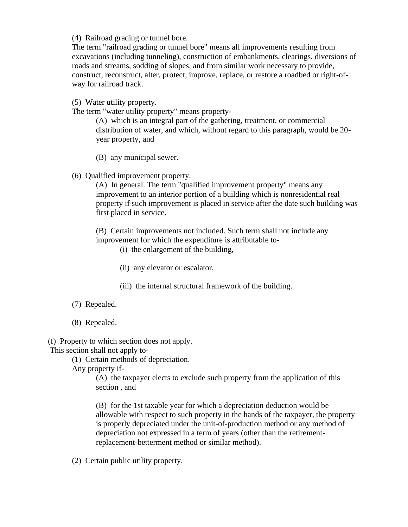(4) Railroad grading or tunnel bore.

The term "railroad grading or tunnel bore" means all improvements resulting from excavations (including tunneling), construction of embankments, clearings, diversions of roads and streams, sodding of slopes, and from similar work necessary to provide, construct, reconstruct, alter, protect, improve, replace, or restore a roadbed or right-ofway for railroad track.

(5) Water utility property.

The term "water utility property" means property-

(A) which is an integral part of the gathering, treatment, or commercial distribution of water, and which, without regard to this paragraph, would be 20 year property, and

- (B) any municipal sewer.
- (6) Qualified improvement property.

(A) In general. The term "qualified improvement property" means any improvement to an interior portion of a building which is nonresidential real property if such improvement is placed in service after the date such building was first placed in service.

(B) Certain improvements not included. Such term shall not include any improvement for which the expenditure is attributable to-

(i) the enlargement of the building,

- (ii) any elevator or escalator,
- (iii) the internal structural framework of the building.
- (7) Repealed.
- (8) Repealed.

(f) Property to which section does not apply.

This section shall not apply to-

(1) Certain methods of depreciation.

Any property if-

(A) the taxpayer elects to exclude such property from the application of this section , and

(B) for the 1st taxable year for which a depreciation deduction would be allowable with respect to such property in the hands of the taxpayer, the property is properly depreciated under the unit-of-production method or any method of depreciation not expressed in a term of years (other than the retirementreplacement-betterment method or similar method).

(2) Certain public utility property.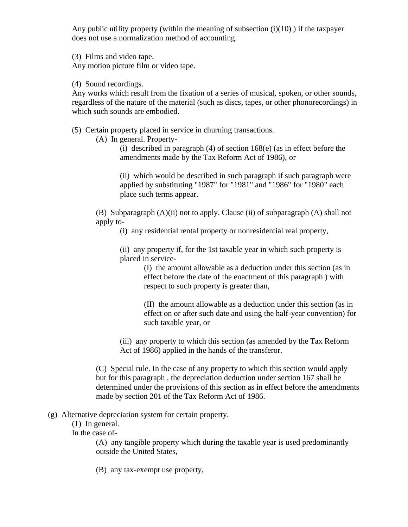Any public utility property (within the meaning of subsection  $(i)(10)$ ) if the taxpayer does not use a normalization method of accounting.

(3) Films and video tape.

Any motion picture film or video tape.

(4) Sound recordings.

Any works which result from the fixation of a series of musical, spoken, or other sounds, regardless of the nature of the material (such as discs, tapes, or other phonorecordings) in which such sounds are embodied.

(5) Certain property placed in service in churning transactions.

(A) In general. Property-

(i) described in paragraph (4) of section 168(e) (as in effect before the amendments made by the Tax Reform Act of 1986), or

(ii) which would be described in such paragraph if such paragraph were applied by substituting "1987" for "1981" and "1986" for "1980" each place such terms appear.

(B) Subparagraph (A)(ii) not to apply. Clause (ii) of subparagraph (A) shall not apply to-

(i) any residential rental property or nonresidential real property,

(ii) any property if, for the 1st taxable year in which such property is placed in service-

> (I) the amount allowable as a deduction under this section (as in effect before the date of the enactment of this paragraph ) with respect to such property is greater than,

(II) the amount allowable as a deduction under this section (as in effect on or after such date and using the half-year convention) for such taxable year, or

(iii) any property to which this section (as amended by the Tax Reform Act of 1986) applied in the hands of the transferor.

(C) Special rule. In the case of any property to which this section would apply but for this paragraph , the depreciation deduction under section 167 shall be determined under the provisions of this section as in effect before the amendments made by section 201 of the Tax Reform Act of 1986.

## (g) Alternative depreciation system for certain property.

(1) In general.

In the case of-

(A) any tangible property which during the taxable year is used predominantly outside the United States,

(B) any tax-exempt use property,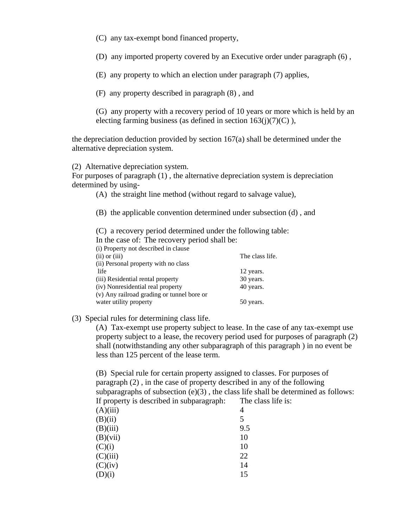(C) any tax-exempt bond financed property,

(D) any imported property covered by an Executive order under paragraph (6) ,

(E) any property to which an election under paragraph (7) applies,

(F) any property described in paragraph (8) , and

(G) any property with a recovery period of 10 years or more which is held by an electing farming business (as defined in section  $163(j)(7)(C)$ ),

the depreciation deduction provided by section 167(a) shall be determined under the alternative depreciation system.

(2) Alternative depreciation system.

For purposes of paragraph (1) , the alternative depreciation system is depreciation determined by using-

(A) the straight line method (without regard to salvage value),

(B) the applicable convention determined under subsection (d) , and

(C) a recovery period determined under the following table:

In the case of: The recovery period shall be:

| (i) Property not described in clause       |                 |
|--------------------------------------------|-----------------|
| $(ii)$ or $(iii)$                          | The class life. |
| (ii) Personal property with no class       |                 |
| life                                       | 12 years.       |
| (iii) Residential rental property          | 30 years.       |
| (iv) Nonresidential real property          | 40 years.       |
| (v) Any railroad grading or tunnel bore or |                 |
| water utility property                     | 50 years.       |

(3) Special rules for determining class life.

(A) Tax-exempt use property subject to lease. In the case of any tax-exempt use property subject to a lease, the recovery period used for purposes of paragraph (2) shall (notwithstanding any other subparagraph of this paragraph ) in no event be less than 125 percent of the lease term.

(B) Special rule for certain property assigned to classes. For purposes of paragraph (2) , in the case of property described in any of the following subparagraphs of subsection  $(e)(3)$ , the class life shall be determined as follows: If property is described in subparagraph: The class life is:

| (A)(iii) | 4   |
|----------|-----|
| (B)(ii)  | 5   |
| (B)(iii) | 9.5 |
| (B)(vii) | 10  |
| (C)(i)   | 10  |
| (C)(iii) | 22  |
| (C)(iv)  | 14  |
| (D)(i)   | 15  |
|          |     |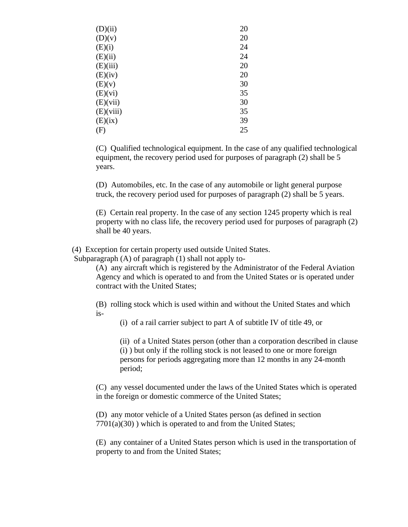| (D)(ii)   | 20 |
|-----------|----|
| (D)(v)    | 20 |
| (E)(i)    | 24 |
| (E)(ii)   | 24 |
| (E)(iii)  | 20 |
| (E)(iv)   | 20 |
| (E)(v)    | 30 |
| (E)(vi)   | 35 |
| (E)(vii)  | 30 |
| (E)(viii) | 35 |
| (E)(ix)   | 39 |
| (F)       | 25 |

(C) Qualified technological equipment. In the case of any qualified technological equipment, the recovery period used for purposes of paragraph (2) shall be 5 years.

(D) Automobiles, etc. In the case of any automobile or light general purpose truck, the recovery period used for purposes of paragraph (2) shall be 5 years.

(E) Certain real property. In the case of any section 1245 property which is real property with no class life, the recovery period used for purposes of paragraph (2) shall be 40 years.

(4) Exception for certain property used outside United States.

Subparagraph (A) of paragraph (1) shall not apply to-

(A) any aircraft which is registered by the Administrator of the Federal Aviation Agency and which is operated to and from the United States or is operated under contract with the United States;

(B) rolling stock which is used within and without the United States and which is-

(i) of a rail carrier subject to part A of subtitle IV of title 49, or

(ii) of a United States person (other than a corporation described in clause (i) ) but only if the rolling stock is not leased to one or more foreign persons for periods aggregating more than 12 months in any 24-month period;

(C) any vessel documented under the laws of the United States which is operated in the foreign or domestic commerce of the United States;

(D) any motor vehicle of a United States person (as defined in section 7701(a)(30) ) which is operated to and from the United States;

(E) any container of a United States person which is used in the transportation of property to and from the United States;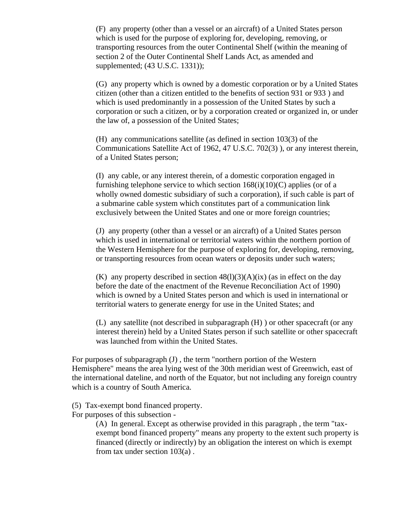(F) any property (other than a vessel or an aircraft) of a United States person which is used for the purpose of exploring for, developing, removing, or transporting resources from the outer Continental Shelf (within the meaning of section 2 of the Outer Continental Shelf Lands Act, as amended and supplemented; (43 U.S.C. 1331));

(G) any property which is owned by a domestic corporation or by a United States citizen (other than a citizen entitled to the benefits of section 931 or 933 ) and which is used predominantly in a possession of the United States by such a corporation or such a citizen, or by a corporation created or organized in, or under the law of, a possession of the United States;

(H) any communications satellite (as defined in section 103(3) of the Communications Satellite Act of 1962, 47 U.S.C. 702(3) ), or any interest therein, of a United States person;

(I) any cable, or any interest therein, of a domestic corporation engaged in furnishing telephone service to which section  $168(i)(10)(C)$  applies (or of a wholly owned domestic subsidiary of such a corporation), if such cable is part of a submarine cable system which constitutes part of a communication link exclusively between the United States and one or more foreign countries;

(J) any property (other than a vessel or an aircraft) of a United States person which is used in international or territorial waters within the northern portion of the Western Hemisphere for the purpose of exploring for, developing, removing, or transporting resources from ocean waters or deposits under such waters;

(K) any property described in section  $48(1)(3)(A)(ix)$  (as in effect on the day before the date of the enactment of the Revenue Reconciliation Act of 1990) which is owned by a United States person and which is used in international or territorial waters to generate energy for use in the United States; and

(L) any satellite (not described in subparagraph (H) ) or other spacecraft (or any interest therein) held by a United States person if such satellite or other spacecraft was launched from within the United States.

For purposes of subparagraph (J) , the term "northern portion of the Western Hemisphere" means the area lying west of the 30th meridian west of Greenwich, east of the international dateline, and north of the Equator, but not including any foreign country which is a country of South America.

- (5) Tax-exempt bond financed property.
- For purposes of this subsection -

(A) In general. Except as otherwise provided in this paragraph , the term "taxexempt bond financed property" means any property to the extent such property is financed (directly or indirectly) by an obligation the interest on which is exempt from tax under section 103(a) .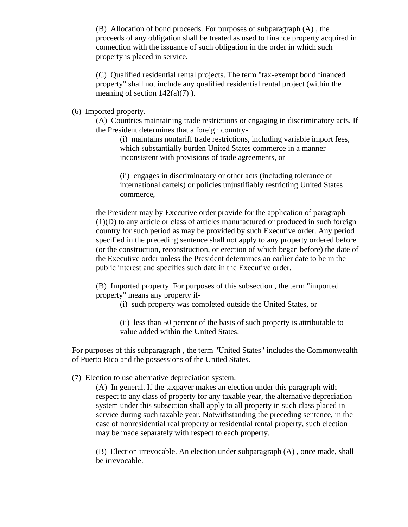(B) Allocation of bond proceeds. For purposes of subparagraph (A) , the proceeds of any obligation shall be treated as used to finance property acquired in connection with the issuance of such obligation in the order in which such property is placed in service.

(C) Qualified residential rental projects. The term "tax-exempt bond financed property" shall not include any qualified residential rental project (within the meaning of section  $142(a)(7)$ ).

(6) Imported property.

(A) Countries maintaining trade restrictions or engaging in discriminatory acts. If the President determines that a foreign country-

(i) maintains nontariff trade restrictions, including variable import fees, which substantially burden United States commerce in a manner inconsistent with provisions of trade agreements, or

(ii) engages in discriminatory or other acts (including tolerance of international cartels) or policies unjustifiably restricting United States commerce,

the President may by Executive order provide for the application of paragraph (1)(D) to any article or class of articles manufactured or produced in such foreign country for such period as may be provided by such Executive order. Any period specified in the preceding sentence shall not apply to any property ordered before (or the construction, reconstruction, or erection of which began before) the date of the Executive order unless the President determines an earlier date to be in the public interest and specifies such date in the Executive order.

(B) Imported property. For purposes of this subsection , the term "imported property" means any property if-

(i) such property was completed outside the United States, or

(ii) less than 50 percent of the basis of such property is attributable to value added within the United States.

For purposes of this subparagraph , the term "United States" includes the Commonwealth of Puerto Rico and the possessions of the United States.

(7) Election to use alternative depreciation system.

(A) In general. If the taxpayer makes an election under this paragraph with respect to any class of property for any taxable year, the alternative depreciation system under this subsection shall apply to all property in such class placed in service during such taxable year. Notwithstanding the preceding sentence, in the case of nonresidential real property or residential rental property, such election may be made separately with respect to each property.

(B) Election irrevocable. An election under subparagraph (A) , once made, shall be irrevocable.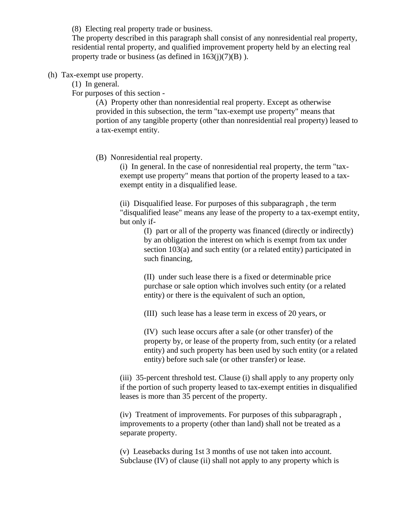(8) Electing real property trade or business.

The property described in this paragraph shall consist of any nonresidential real property, residential rental property, and qualified improvement property held by an electing real property trade or business (as defined in  $163(i)(7)(B)$ ).

#### (h) Tax-exempt use property.

(1) In general.

For purposes of this section -

(A) Property other than nonresidential real property. Except as otherwise provided in this subsection, the term "tax-exempt use property" means that portion of any tangible property (other than nonresidential real property) leased to a tax-exempt entity.

(B) Nonresidential real property.

(i) In general. In the case of nonresidential real property, the term "taxexempt use property" means that portion of the property leased to a taxexempt entity in a disqualified lease.

(ii) Disqualified lease. For purposes of this subparagraph , the term "disqualified lease" means any lease of the property to a tax-exempt entity, but only if-

(I) part or all of the property was financed (directly or indirectly) by an obligation the interest on which is exempt from tax under section 103(a) and such entity (or a related entity) participated in such financing,

(II) under such lease there is a fixed or determinable price purchase or sale option which involves such entity (or a related entity) or there is the equivalent of such an option,

(III) such lease has a lease term in excess of 20 years, or

(IV) such lease occurs after a sale (or other transfer) of the property by, or lease of the property from, such entity (or a related entity) and such property has been used by such entity (or a related entity) before such sale (or other transfer) or lease.

(iii) 35-percent threshold test. Clause (i) shall apply to any property only if the portion of such property leased to tax-exempt entities in disqualified leases is more than 35 percent of the property.

(iv) Treatment of improvements. For purposes of this subparagraph , improvements to a property (other than land) shall not be treated as a separate property.

(v) Leasebacks during 1st 3 months of use not taken into account. Subclause (IV) of clause (ii) shall not apply to any property which is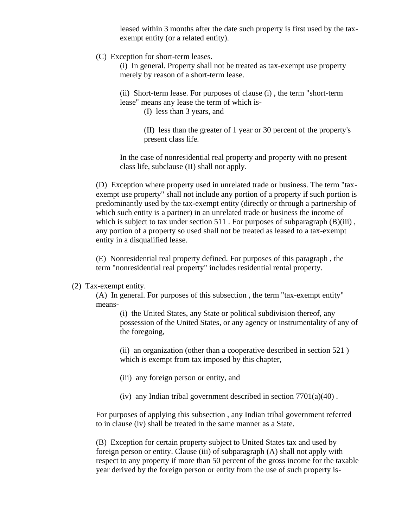leased within 3 months after the date such property is first used by the taxexempt entity (or a related entity).

(C) Exception for short-term leases.

(i) In general. Property shall not be treated as tax-exempt use property merely by reason of a short-term lease.

(ii) Short-term lease. For purposes of clause (i) , the term "short-term lease" means any lease the term of which is-

(I) less than 3 years, and

(II) less than the greater of 1 year or 30 percent of the property's present class life.

In the case of nonresidential real property and property with no present class life, subclause (II) shall not apply.

(D) Exception where property used in unrelated trade or business. The term "taxexempt use property" shall not include any portion of a property if such portion is predominantly used by the tax-exempt entity (directly or through a partnership of which such entity is a partner) in an unrelated trade or business the income of which is subject to tax under section 511. For purposes of subparagraph  $(B)(iii)$ , any portion of a property so used shall not be treated as leased to a tax-exempt entity in a disqualified lease.

(E) Nonresidential real property defined. For purposes of this paragraph , the term "nonresidential real property" includes residential rental property.

#### (2) Tax-exempt entity.

(A) In general. For purposes of this subsection , the term "tax-exempt entity" means-

(i) the United States, any State or political subdivision thereof, any possession of the United States, or any agency or instrumentality of any of the foregoing,

(ii) an organization (other than a cooperative described in section 521 ) which is exempt from tax imposed by this chapter,

- (iii) any foreign person or entity, and
- (iv) any Indian tribal government described in section  $7701(a)(40)$ .

For purposes of applying this subsection , any Indian tribal government referred to in clause (iv) shall be treated in the same manner as a State.

(B) Exception for certain property subject to United States tax and used by foreign person or entity. Clause (iii) of subparagraph (A) shall not apply with respect to any property if more than 50 percent of the gross income for the taxable year derived by the foreign person or entity from the use of such property is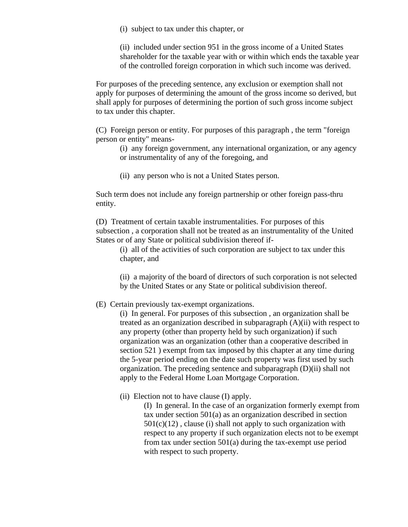(i) subject to tax under this chapter, or

(ii) included under section 951 in the gross income of a United States shareholder for the taxable year with or within which ends the taxable year of the controlled foreign corporation in which such income was derived.

For purposes of the preceding sentence, any exclusion or exemption shall not apply for purposes of determining the amount of the gross income so derived, but shall apply for purposes of determining the portion of such gross income subject to tax under this chapter.

(C) Foreign person or entity. For purposes of this paragraph , the term "foreign person or entity" means-

(i) any foreign government, any international organization, or any agency or instrumentality of any of the foregoing, and

(ii) any person who is not a United States person.

Such term does not include any foreign partnership or other foreign pass-thru entity.

(D) Treatment of certain taxable instrumentalities. For purposes of this subsection , a corporation shall not be treated as an instrumentality of the United States or of any State or political subdivision thereof if-

(i) all of the activities of such corporation are subject to tax under this chapter, and

(ii) a majority of the board of directors of such corporation is not selected by the United States or any State or political subdivision thereof.

(E) Certain previously tax-exempt organizations.

(i) In general. For purposes of this subsection , an organization shall be treated as an organization described in subparagraph (A)(ii) with respect to any property (other than property held by such organization) if such organization was an organization (other than a cooperative described in section 521 ) exempt from tax imposed by this chapter at any time during the 5-year period ending on the date such property was first used by such organization. The preceding sentence and subparagraph (D)(ii) shall not apply to the Federal Home Loan Mortgage Corporation.

(ii) Election not to have clause (I) apply.

(I) In general. In the case of an organization formerly exempt from tax under section 501(a) as an organization described in section  $501(c)(12)$ , clause (i) shall not apply to such organization with respect to any property if such organization elects not to be exempt from tax under section 501(a) during the tax-exempt use period with respect to such property.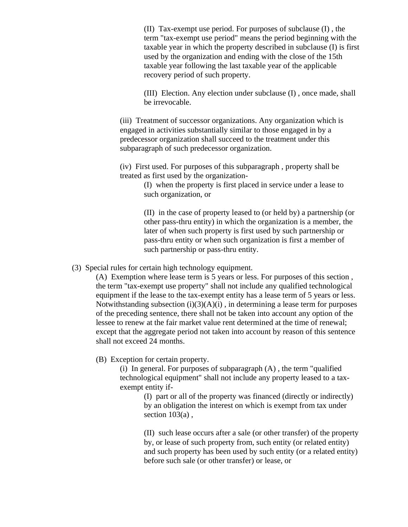(II) Tax-exempt use period. For purposes of subclause (I) , the term "tax-exempt use period" means the period beginning with the taxable year in which the property described in subclause (I) is first used by the organization and ending with the close of the 15th taxable year following the last taxable year of the applicable recovery period of such property.

(III) Election. Any election under subclause (I) , once made, shall be irrevocable.

(iii) Treatment of successor organizations. Any organization which is engaged in activities substantially similar to those engaged in by a predecessor organization shall succeed to the treatment under this subparagraph of such predecessor organization.

(iv) First used. For purposes of this subparagraph , property shall be treated as first used by the organization-

> (I) when the property is first placed in service under a lease to such organization, or

(II) in the case of property leased to (or held by) a partnership (or other pass-thru entity) in which the organization is a member, the later of when such property is first used by such partnership or pass-thru entity or when such organization is first a member of such partnership or pass-thru entity.

(3) Special rules for certain high technology equipment.

(A) Exemption where lease term is 5 years or less. For purposes of this section , the term "tax-exempt use property" shall not include any qualified technological equipment if the lease to the tax-exempt entity has a lease term of 5 years or less. Notwithstanding subsection  $(i)(3)(A)(i)$ , in determining a lease term for purposes of the preceding sentence, there shall not be taken into account any option of the lessee to renew at the fair market value rent determined at the time of renewal; except that the aggregate period not taken into account by reason of this sentence shall not exceed 24 months.

(B) Exception for certain property.

(i) In general. For purposes of subparagraph  $(A)$ , the term "qualified" technological equipment" shall not include any property leased to a taxexempt entity if-

> (I) part or all of the property was financed (directly or indirectly) by an obligation the interest on which is exempt from tax under section  $103(a)$ ,

(II) such lease occurs after a sale (or other transfer) of the property by, or lease of such property from, such entity (or related entity) and such property has been used by such entity (or a related entity) before such sale (or other transfer) or lease, or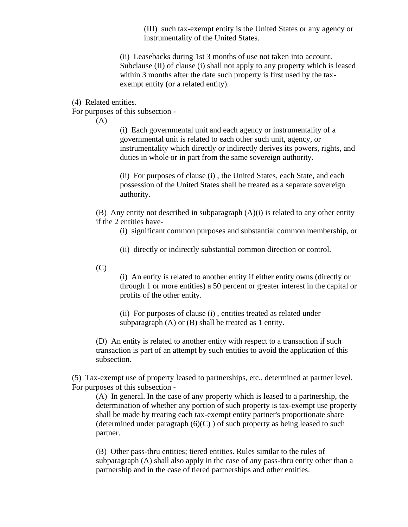(III) such tax-exempt entity is the United States or any agency or instrumentality of the United States.

(ii) Leasebacks during 1st 3 months of use not taken into account. Subclause (II) of clause (i) shall not apply to any property which is leased within 3 months after the date such property is first used by the taxexempt entity (or a related entity).

(4) Related entities.

For purposes of this subsection -

(A)

(i) Each governmental unit and each agency or instrumentality of a governmental unit is related to each other such unit, agency, or instrumentality which directly or indirectly derives its powers, rights, and duties in whole or in part from the same sovereign authority.

(ii) For purposes of clause (i) , the United States, each State, and each possession of the United States shall be treated as a separate sovereign authority.

(B) Any entity not described in subparagraph (A)(i) is related to any other entity if the 2 entities have-

(i) significant common purposes and substantial common membership, or

- (ii) directly or indirectly substantial common direction or control.
- $(C)$

(i) An entity is related to another entity if either entity owns (directly or through 1 or more entities) a 50 percent or greater interest in the capital or profits of the other entity.

(ii) For purposes of clause (i) , entities treated as related under subparagraph (A) or (B) shall be treated as 1 entity.

(D) An entity is related to another entity with respect to a transaction if such transaction is part of an attempt by such entities to avoid the application of this subsection.

(5) Tax-exempt use of property leased to partnerships, etc., determined at partner level. For purposes of this subsection -

(A) In general. In the case of any property which is leased to a partnership, the determination of whether any portion of such property is tax-exempt use property shall be made by treating each tax-exempt entity partner's proportionate share (determined under paragraph  $(6)(C)$ ) of such property as being leased to such partner.

(B) Other pass-thru entities; tiered entities. Rules similar to the rules of subparagraph (A) shall also apply in the case of any pass-thru entity other than a partnership and in the case of tiered partnerships and other entities.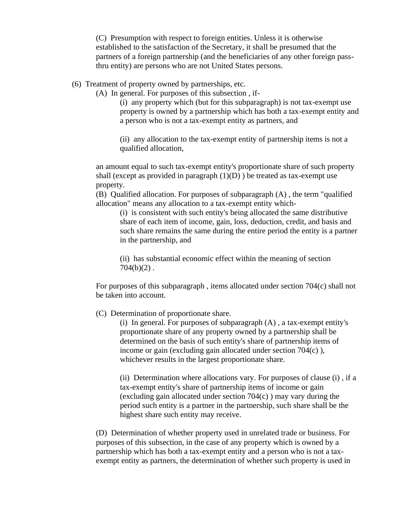(C) Presumption with respect to foreign entities. Unless it is otherwise established to the satisfaction of the Secretary, it shall be presumed that the partners of a foreign partnership (and the beneficiaries of any other foreign passthru entity) are persons who are not United States persons.

(6) Treatment of property owned by partnerships, etc.

(A) In general. For purposes of this subsection , if-

(i) any property which (but for this subparagraph) is not tax-exempt use property is owned by a partnership which has both a tax-exempt entity and a person who is not a tax-exempt entity as partners, and

(ii) any allocation to the tax-exempt entity of partnership items is not a qualified allocation,

an amount equal to such tax-exempt entity's proportionate share of such property shall (except as provided in paragraph  $(1)(D)$ ) be treated as tax-exempt use property.

(B) Qualified allocation. For purposes of subparagraph (A) , the term "qualified allocation" means any allocation to a tax-exempt entity which-

(i) is consistent with such entity's being allocated the same distributive share of each item of income, gain, loss, deduction, credit, and basis and such share remains the same during the entire period the entity is a partner in the partnership, and

(ii) has substantial economic effect within the meaning of section  $704(b)(2)$ .

For purposes of this subparagraph, items allocated under section  $704(c)$  shall not be taken into account.

(C) Determination of proportionate share.

(i) In general. For purposes of subparagraph (A) , a tax-exempt entity's proportionate share of any property owned by a partnership shall be determined on the basis of such entity's share of partnership items of income or gain (excluding gain allocated under section 704(c) ), whichever results in the largest proportionate share.

(ii) Determination where allocations vary. For purposes of clause (i) , if a tax-exempt entity's share of partnership items of income or gain (excluding gain allocated under section  $704(c)$ ) may vary during the period such entity is a partner in the partnership, such share shall be the highest share such entity may receive.

(D) Determination of whether property used in unrelated trade or business. For purposes of this subsection, in the case of any property which is owned by a partnership which has both a tax-exempt entity and a person who is not a taxexempt entity as partners, the determination of whether such property is used in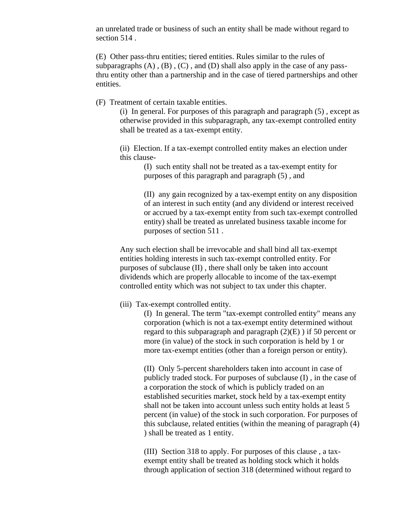an unrelated trade or business of such an entity shall be made without regard to section 514 .

(E) Other pass-thru entities; tiered entities. Rules similar to the rules of subparagraphs  $(A)$ ,  $(B)$ ,  $(C)$ , and  $(D)$  shall also apply in the case of any passthru entity other than a partnership and in the case of tiered partnerships and other entities.

(F) Treatment of certain taxable entities.

(i) In general. For purposes of this paragraph and paragraph (5) , except as otherwise provided in this subparagraph, any tax-exempt controlled entity shall be treated as a tax-exempt entity.

(ii) Election. If a tax-exempt controlled entity makes an election under this clause-

> (I) such entity shall not be treated as a tax-exempt entity for purposes of this paragraph and paragraph (5) , and

(II) any gain recognized by a tax-exempt entity on any disposition of an interest in such entity (and any dividend or interest received or accrued by a tax-exempt entity from such tax-exempt controlled entity) shall be treated as unrelated business taxable income for purposes of section 511 .

Any such election shall be irrevocable and shall bind all tax-exempt entities holding interests in such tax-exempt controlled entity. For purposes of subclause (II) , there shall only be taken into account dividends which are properly allocable to income of the tax-exempt controlled entity which was not subject to tax under this chapter.

#### (iii) Tax-exempt controlled entity.

(I) In general. The term "tax-exempt controlled entity" means any corporation (which is not a tax-exempt entity determined without regard to this subparagraph and paragraph  $(2)(E)$ ) if 50 percent or more (in value) of the stock in such corporation is held by 1 or more tax-exempt entities (other than a foreign person or entity).

(II) Only 5-percent shareholders taken into account in case of publicly traded stock. For purposes of subclause (I) , in the case of a corporation the stock of which is publicly traded on an established securities market, stock held by a tax-exempt entity shall not be taken into account unless such entity holds at least 5 percent (in value) of the stock in such corporation. For purposes of this subclause, related entities (within the meaning of paragraph (4) ) shall be treated as 1 entity.

(III) Section 318 to apply. For purposes of this clause , a taxexempt entity shall be treated as holding stock which it holds through application of section 318 (determined without regard to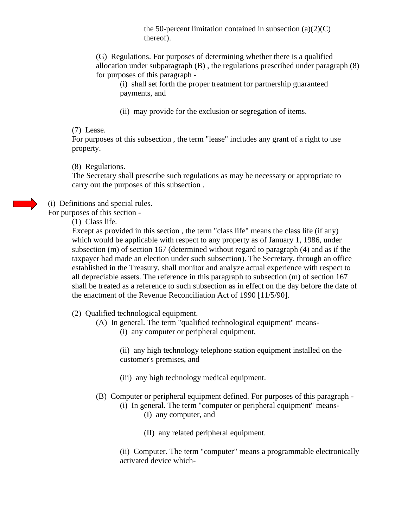the 50-percent limitation contained in subsection  $(a)(2)(C)$ thereof).

(G) Regulations. For purposes of determining whether there is a qualified allocation under subparagraph (B) , the regulations prescribed under paragraph (8) for purposes of this paragraph -

(i) shall set forth the proper treatment for partnership guaranteed payments, and

(ii) may provide for the exclusion or segregation of items.

## (7) Lease.

For purposes of this subsection , the term "lease" includes any grant of a right to use property.

(8) Regulations.

The Secretary shall prescribe such regulations as may be necessary or appropriate to carry out the purposes of this subsection .

(i) Definitions and special rules.

For purposes of this section -

(1) Class life.

Except as provided in this section , the term "class life" means the class life (if any) which would be applicable with respect to any property as of January 1, 1986, under subsection (m) of section 167 (determined without regard to paragraph (4) and as if the taxpayer had made an election under such subsection). The Secretary, through an office established in the Treasury, shall monitor and analyze actual experience with respect to all depreciable assets. The reference in this paragraph to subsection (m) of section 167 shall be treated as a reference to such subsection as in effect on the day before the date of the enactment of the Revenue Reconciliation Act of 1990 [11/5/90].

- (2) Qualified technological equipment.
	- (A) In general. The term "qualified technological equipment" means-
		- (i) any computer or peripheral equipment,

(ii) any high technology telephone station equipment installed on the customer's premises, and

- (iii) any high technology medical equipment.
- (B) Computer or peripheral equipment defined. For purposes of this paragraph
	- (i) In general. The term "computer or peripheral equipment" means- (I) any computer, and
		- (II) any related peripheral equipment.

(ii) Computer. The term "computer" means a programmable electronically activated device which-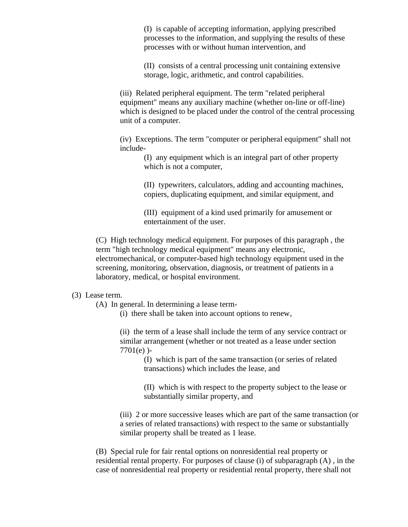(I) is capable of accepting information, applying prescribed processes to the information, and supplying the results of these processes with or without human intervention, and

(II) consists of a central processing unit containing extensive storage, logic, arithmetic, and control capabilities.

(iii) Related peripheral equipment. The term "related peripheral equipment" means any auxiliary machine (whether on-line or off-line) which is designed to be placed under the control of the central processing unit of a computer.

(iv) Exceptions. The term "computer or peripheral equipment" shall not include-

> (I) any equipment which is an integral part of other property which is not a computer,

(II) typewriters, calculators, adding and accounting machines, copiers, duplicating equipment, and similar equipment, and

(III) equipment of a kind used primarily for amusement or entertainment of the user.

(C) High technology medical equipment. For purposes of this paragraph , the term "high technology medical equipment" means any electronic, electromechanical, or computer-based high technology equipment used in the screening, monitoring, observation, diagnosis, or treatment of patients in a laboratory, medical, or hospital environment.

#### (3) Lease term.

(A) In general. In determining a lease term-

(i) there shall be taken into account options to renew,

(ii) the term of a lease shall include the term of any service contract or similar arrangement (whether or not treated as a lease under section 7701(e) )-

> (I) which is part of the same transaction (or series of related transactions) which includes the lease, and

(II) which is with respect to the property subject to the lease or substantially similar property, and

(iii) 2 or more successive leases which are part of the same transaction (or a series of related transactions) with respect to the same or substantially similar property shall be treated as 1 lease.

(B) Special rule for fair rental options on nonresidential real property or residential rental property. For purposes of clause (i) of subparagraph (A) , in the case of nonresidential real property or residential rental property, there shall not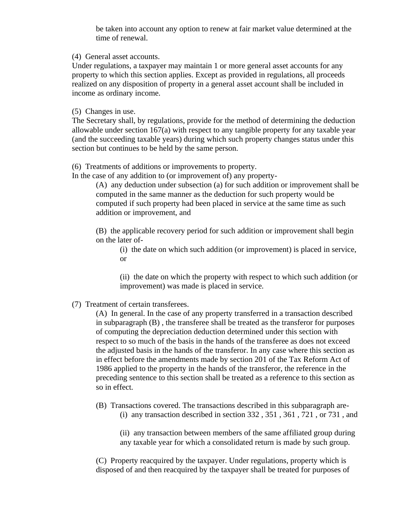be taken into account any option to renew at fair market value determined at the time of renewal.

(4) General asset accounts.

Under regulations, a taxpayer may maintain 1 or more general asset accounts for any property to which this section applies. Except as provided in regulations, all proceeds realized on any disposition of property in a general asset account shall be included in income as ordinary income.

(5) Changes in use.

The Secretary shall, by regulations, provide for the method of determining the deduction allowable under section 167(a) with respect to any tangible property for any taxable year (and the succeeding taxable years) during which such property changes status under this section but continues to be held by the same person.

(6) Treatments of additions or improvements to property.

In the case of any addition to (or improvement of) any property-

(A) any deduction under subsection (a) for such addition or improvement shall be computed in the same manner as the deduction for such property would be computed if such property had been placed in service at the same time as such addition or improvement, and

(B) the applicable recovery period for such addition or improvement shall begin on the later of-

(i) the date on which such addition (or improvement) is placed in service, or

(ii) the date on which the property with respect to which such addition (or improvement) was made is placed in service.

(7) Treatment of certain transferees.

(A) In general. In the case of any property transferred in a transaction described in subparagraph (B) , the transferee shall be treated as the transferor for purposes of computing the depreciation deduction determined under this section with respect to so much of the basis in the hands of the transferee as does not exceed the adjusted basis in the hands of the transferor. In any case where this section as in effect before the amendments made by section 201 of the Tax Reform Act of 1986 applied to the property in the hands of the transferor, the reference in the preceding sentence to this section shall be treated as a reference to this section as so in effect.

(B) Transactions covered. The transactions described in this subparagraph are- (i) any transaction described in section 332 , 351 , 361 , 721 , or 731 , and

(ii) any transaction between members of the same affiliated group during any taxable year for which a consolidated return is made by such group.

(C) Property reacquired by the taxpayer. Under regulations, property which is disposed of and then reacquired by the taxpayer shall be treated for purposes of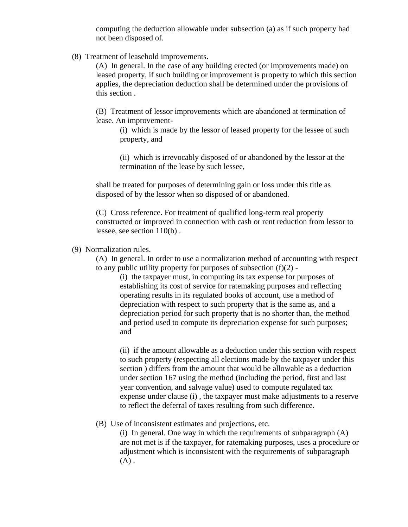computing the deduction allowable under subsection (a) as if such property had not been disposed of.

(8) Treatment of leasehold improvements.

(A) In general. In the case of any building erected (or improvements made) on leased property, if such building or improvement is property to which this section applies, the depreciation deduction shall be determined under the provisions of this section .

(B) Treatment of lessor improvements which are abandoned at termination of lease. An improvement-

(i) which is made by the lessor of leased property for the lessee of such property, and

(ii) which is irrevocably disposed of or abandoned by the lessor at the termination of the lease by such lessee,

shall be treated for purposes of determining gain or loss under this title as disposed of by the lessor when so disposed of or abandoned.

(C) Cross reference. For treatment of qualified long-term real property constructed or improved in connection with cash or rent reduction from lessor to lessee, see section 110(b) .

(9) Normalization rules.

(A) In general. In order to use a normalization method of accounting with respect to any public utility property for purposes of subsection  $(f)(2)$  -

(i) the taxpayer must, in computing its tax expense for purposes of establishing its cost of service for ratemaking purposes and reflecting operating results in its regulated books of account, use a method of depreciation with respect to such property that is the same as, and a depreciation period for such property that is no shorter than, the method and period used to compute its depreciation expense for such purposes; and

(ii) if the amount allowable as a deduction under this section with respect to such property (respecting all elections made by the taxpayer under this section ) differs from the amount that would be allowable as a deduction under section 167 using the method (including the period, first and last year convention, and salvage value) used to compute regulated tax expense under clause (i) , the taxpayer must make adjustments to a reserve to reflect the deferral of taxes resulting from such difference.

## (B) Use of inconsistent estimates and projections, etc.

(i) In general. One way in which the requirements of subparagraph (A) are not met is if the taxpayer, for ratemaking purposes, uses a procedure or adjustment which is inconsistent with the requirements of subparagraph  $(A)$ .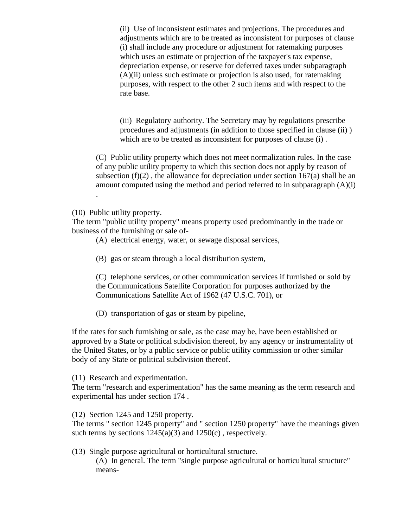(ii) Use of inconsistent estimates and projections. The procedures and adjustments which are to be treated as inconsistent for purposes of clause (i) shall include any procedure or adjustment for ratemaking purposes which uses an estimate or projection of the taxpayer's tax expense, depreciation expense, or reserve for deferred taxes under subparagraph  $(A)(ii)$  unless such estimate or projection is also used, for ratemaking purposes, with respect to the other 2 such items and with respect to the rate base.

(iii) Regulatory authority. The Secretary may by regulations prescribe procedures and adjustments (in addition to those specified in clause (ii) ) which are to be treated as inconsistent for purposes of clause (i) .

(C) Public utility property which does not meet normalization rules. In the case of any public utility property to which this section does not apply by reason of subsection  $(f)(2)$ , the allowance for depreciation under section 167(a) shall be an amount computed using the method and period referred to in subparagraph (A)(i)

(10) Public utility property.

.

The term "public utility property" means property used predominantly in the trade or business of the furnishing or sale of-

(A) electrical energy, water, or sewage disposal services,

(B) gas or steam through a local distribution system,

(C) telephone services, or other communication services if furnished or sold by the Communications Satellite Corporation for purposes authorized by the Communications Satellite Act of 1962 (47 U.S.C. 701), or

(D) transportation of gas or steam by pipeline,

if the rates for such furnishing or sale, as the case may be, have been established or approved by a State or political subdivision thereof, by any agency or instrumentality of the United States, or by a public service or public utility commission or other similar body of any State or political subdivision thereof.

(11) Research and experimentation.

The term "research and experimentation" has the same meaning as the term research and experimental has under section 174 .

(12) Section 1245 and 1250 property.

The terms " section 1245 property" and " section 1250 property" have the meanings given such terms by sections  $1245(a)(3)$  and  $1250(c)$ , respectively.

(13) Single purpose agricultural or horticultural structure. (A) In general. The term "single purpose agricultural or horticultural structure" means-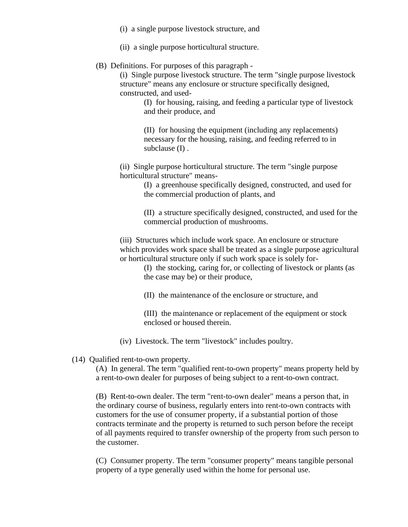- (i) a single purpose livestock structure, and
- (ii) a single purpose horticultural structure.

## (B) Definitions. For purposes of this paragraph -

(i) Single purpose livestock structure. The term "single purpose livestock structure" means any enclosure or structure specifically designed, constructed, and used-

(I) for housing, raising, and feeding a particular type of livestock and their produce, and

(II) for housing the equipment (including any replacements) necessary for the housing, raising, and feeding referred to in subclause (I) .

(ii) Single purpose horticultural structure. The term "single purpose horticultural structure" means-

> (I) a greenhouse specifically designed, constructed, and used for the commercial production of plants, and

(II) a structure specifically designed, constructed, and used for the commercial production of mushrooms.

(iii) Structures which include work space. An enclosure or structure which provides work space shall be treated as a single purpose agricultural or horticultural structure only if such work space is solely for-

> (I) the stocking, caring for, or collecting of livestock or plants (as the case may be) or their produce,

(II) the maintenance of the enclosure or structure, and

(III) the maintenance or replacement of the equipment or stock enclosed or housed therein.

(iv) Livestock. The term "livestock" includes poultry.

(14) Qualified rent-to-own property.

(A) In general. The term "qualified rent-to-own property" means property held by a rent-to-own dealer for purposes of being subject to a rent-to-own contract.

(B) Rent-to-own dealer. The term "rent-to-own dealer" means a person that, in the ordinary course of business, regularly enters into rent-to-own contracts with customers for the use of consumer property, if a substantial portion of those contracts terminate and the property is returned to such person before the receipt of all payments required to transfer ownership of the property from such person to the customer.

(C) Consumer property. The term "consumer property" means tangible personal property of a type generally used within the home for personal use.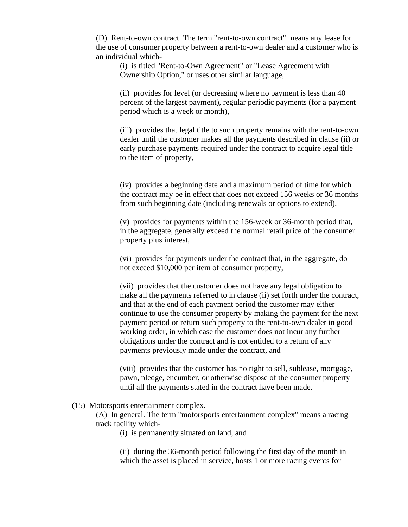(D) Rent-to-own contract. The term "rent-to-own contract" means any lease for the use of consumer property between a rent-to-own dealer and a customer who is an individual which-

(i) is titled "Rent-to-Own Agreement" or "Lease Agreement with Ownership Option," or uses other similar language,

(ii) provides for level (or decreasing where no payment is less than 40 percent of the largest payment), regular periodic payments (for a payment period which is a week or month),

(iii) provides that legal title to such property remains with the rent-to-own dealer until the customer makes all the payments described in clause (ii) or early purchase payments required under the contract to acquire legal title to the item of property,

(iv) provides a beginning date and a maximum period of time for which the contract may be in effect that does not exceed 156 weeks or 36 months from such beginning date (including renewals or options to extend),

(v) provides for payments within the 156-week or 36-month period that, in the aggregate, generally exceed the normal retail price of the consumer property plus interest,

(vi) provides for payments under the contract that, in the aggregate, do not exceed \$10,000 per item of consumer property,

(vii) provides that the customer does not have any legal obligation to make all the payments referred to in clause (ii) set forth under the contract, and that at the end of each payment period the customer may either continue to use the consumer property by making the payment for the next payment period or return such property to the rent-to-own dealer in good working order, in which case the customer does not incur any further obligations under the contract and is not entitled to a return of any payments previously made under the contract, and

(viii) provides that the customer has no right to sell, sublease, mortgage, pawn, pledge, encumber, or otherwise dispose of the consumer property until all the payments stated in the contract have been made.

#### (15) Motorsports entertainment complex.

(A) In general. The term "motorsports entertainment complex" means a racing track facility which-

(i) is permanently situated on land, and

(ii) during the 36-month period following the first day of the month in which the asset is placed in service, hosts 1 or more racing events for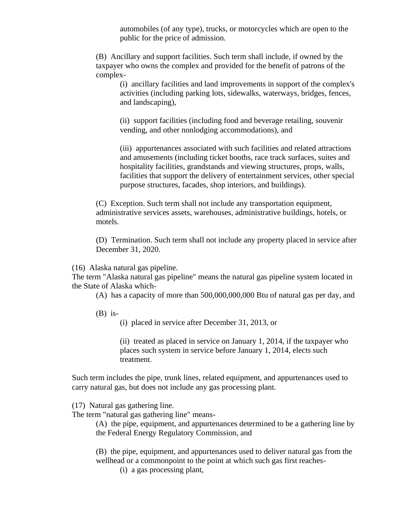automobiles (of any type), trucks, or motorcycles which are open to the public for the price of admission.

(B) Ancillary and support facilities. Such term shall include, if owned by the taxpayer who owns the complex and provided for the benefit of patrons of the complex-

(i) ancillary facilities and land improvements in support of the complex's activities (including parking lots, sidewalks, waterways, bridges, fences, and landscaping),

(ii) support facilities (including food and beverage retailing, souvenir vending, and other nonlodging accommodations), and

(iii) appurtenances associated with such facilities and related attractions and amusements (including ticket booths, race track surfaces, suites and hospitality facilities, grandstands and viewing structures, props, walls, facilities that support the delivery of entertainment services, other special purpose structures, facades, shop interiors, and buildings).

(C) Exception. Such term shall not include any transportation equipment, administrative services assets, warehouses, administrative buildings, hotels, or motels.

(D) Termination. Such term shall not include any property placed in service after December 31, 2020.

(16) Alaska natural gas pipeline.

The term "Alaska natural gas pipeline" means the natural gas pipeline system located in the State of Alaska which-

(A) has a capacity of more than 500,000,000,000 Btu of natural gas per day, and

 $(B)$  is-

(i) placed in service after December 31, 2013, or

(ii) treated as placed in service on January 1, 2014, if the taxpayer who places such system in service before January 1, 2014, elects such treatment.

Such term includes the pipe, trunk lines, related equipment, and appurtenances used to carry natural gas, but does not include any gas processing plant.

(17) Natural gas gathering line.

The term "natural gas gathering line" means-

(A) the pipe, equipment, and appurtenances determined to be a gathering line by the Federal Energy Regulatory Commission, and

(B) the pipe, equipment, and appurtenances used to deliver natural gas from the wellhead or a commonpoint to the point at which such gas first reaches-

(i) a gas processing plant,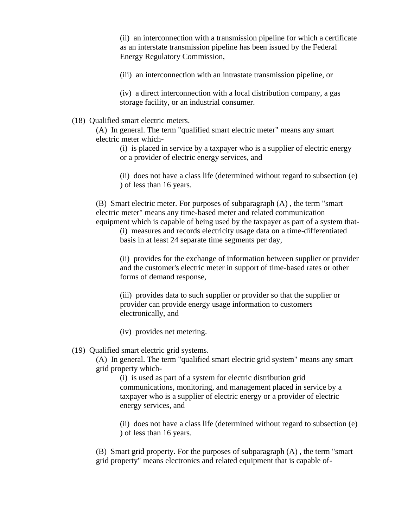(ii) an interconnection with a transmission pipeline for which a certificate as an interstate transmission pipeline has been issued by the Federal Energy Regulatory Commission,

(iii) an interconnection with an intrastate transmission pipeline, or

(iv) a direct interconnection with a local distribution company, a gas storage facility, or an industrial consumer.

(18) Qualified smart electric meters.

(A) In general. The term "qualified smart electric meter" means any smart electric meter which-

(i) is placed in service by a taxpayer who is a supplier of electric energy or a provider of electric energy services, and

(ii) does not have a class life (determined without regard to subsection (e) ) of less than 16 years.

(B) Smart electric meter. For purposes of subparagraph (A) , the term "smart electric meter" means any time-based meter and related communication equipment which is capable of being used by the taxpayer as part of a system that-

(i) measures and records electricity usage data on a time-differentiated basis in at least 24 separate time segments per day,

(ii) provides for the exchange of information between supplier or provider and the customer's electric meter in support of time-based rates or other forms of demand response,

(iii) provides data to such supplier or provider so that the supplier or provider can provide energy usage information to customers electronically, and

(iv) provides net metering.

#### (19) Qualified smart electric grid systems.

(A) In general. The term "qualified smart electric grid system" means any smart grid property which-

(i) is used as part of a system for electric distribution grid communications, monitoring, and management placed in service by a taxpayer who is a supplier of electric energy or a provider of electric energy services, and

(ii) does not have a class life (determined without regard to subsection (e) ) of less than 16 years.

(B) Smart grid property. For the purposes of subparagraph (A) , the term "smart grid property" means electronics and related equipment that is capable of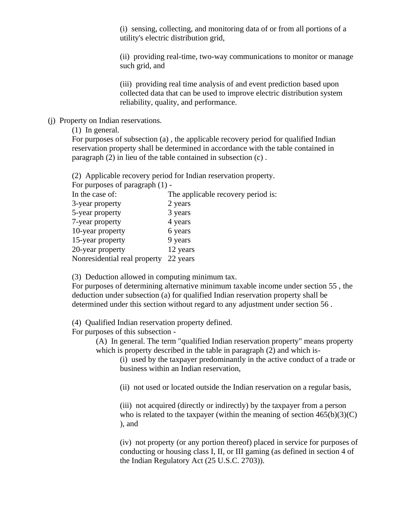(i) sensing, collecting, and monitoring data of or from all portions of a utility's electric distribution grid,

(ii) providing real-time, two-way communications to monitor or manage such grid, and

(iii) providing real time analysis of and event prediction based upon collected data that can be used to improve electric distribution system reliability, quality, and performance.

## (j) Property on Indian reservations.

(1) In general.

For purposes of subsection (a) , the applicable recovery period for qualified Indian reservation property shall be determined in accordance with the table contained in paragraph (2) in lieu of the table contained in subsection (c) .

(2) Applicable recovery period for Indian reservation property.

For purposes of paragraph (1) -

| In the case of:              | The applicable recovery period is: |
|------------------------------|------------------------------------|
| 3-year property              | 2 years                            |
| 5-year property              | 3 years                            |
| 7-year property              | 4 years                            |
| 10-year property             | 6 years                            |
| 15-year property             | 9 years                            |
| 20-year property             | 12 years                           |
| Nonresidential real property | 22 years                           |
|                              |                                    |

(3) Deduction allowed in computing minimum tax.

For purposes of determining alternative minimum taxable income under section 55 , the deduction under subsection (a) for qualified Indian reservation property shall be determined under this section without regard to any adjustment under section 56 .

(4) Qualified Indian reservation property defined.

For purposes of this subsection -

(A) In general. The term "qualified Indian reservation property" means property which is property described in the table in paragraph (2) and which is-

(i) used by the taxpayer predominantly in the active conduct of a trade or business within an Indian reservation,

(ii) not used or located outside the Indian reservation on a regular basis,

(iii) not acquired (directly or indirectly) by the taxpayer from a person who is related to the taxpayer (within the meaning of section  $465(b)(3)(C)$ ) ), and

(iv) not property (or any portion thereof) placed in service for purposes of conducting or housing class I, II, or III gaming (as defined in section 4 of the Indian Regulatory Act (25 U.S.C. 2703)).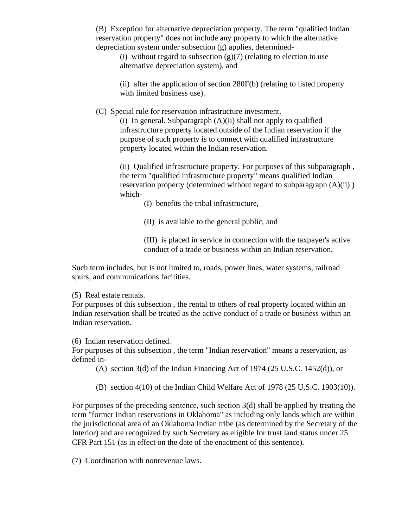(B) Exception for alternative depreciation property. The term "qualified Indian reservation property" does not include any property to which the alternative depreciation system under subsection (g) applies, determined-

(i) without regard to subsection  $(g)(7)$  (relating to election to use alternative depreciation system), and

(ii) after the application of section 280F(b) (relating to listed property with limited business use).

(C) Special rule for reservation infrastructure investment.

(i) In general. Subparagraph (A)(ii) shall not apply to qualified infrastructure property located outside of the Indian reservation if the purpose of such property is to connect with qualified infrastructure property located within the Indian reservation.

(ii) Qualified infrastructure property. For purposes of this subparagraph , the term "qualified infrastructure property" means qualified Indian reservation property (determined without regard to subparagraph (A)(ii) ) which-

(I) benefits the tribal infrastructure,

(II) is available to the general public, and

(III) is placed in service in connection with the taxpayer's active conduct of a trade or business within an Indian reservation.

Such term includes, but is not limited to, roads, power lines, water systems, railroad spurs, and communications facilities.

(5) Real estate rentals.

For purposes of this subsection , the rental to others of real property located within an Indian reservation shall be treated as the active conduct of a trade or business within an Indian reservation.

(6) Indian reservation defined.

For purposes of this subsection , the term "Indian reservation" means a reservation, as defined in-

(A) section 3(d) of the Indian Financing Act of 1974 (25 U.S.C. 1452(d)), or

(B) section 4(10) of the Indian Child Welfare Act of 1978 (25 U.S.C. 1903(10)).

For purposes of the preceding sentence, such section 3(d) shall be applied by treating the term "former Indian reservations in Oklahoma" as including only lands which are within the jurisdictional area of an Oklahoma Indian tribe (as determined by the Secretary of the Interior) and are recognized by such Secretary as eligible for trust land status under 25 CFR Part 151 (as in effect on the date of the enactment of this sentence).

(7) Coordination with nonrevenue laws.